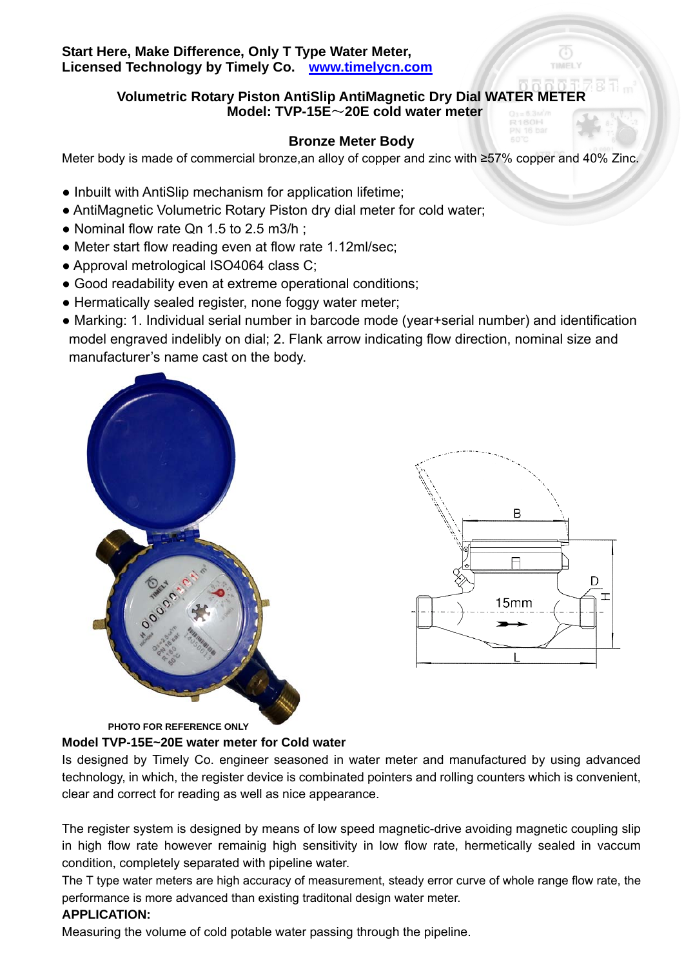## **Start Here, Make Difference, Only T Type Water Meter, Licensed Technology by Timely Co. www.timelycn.com**

# **Volumetric Rotary Piston AntiSlip AntiMagnetic Dry Dial WATER METER Model: TVP-15E**~**20E cold water meter**

# **Bronze Meter Body**

Meter body is made of commercial bronze,an alloy of copper and zinc with ≥57% copper and 40% Zinc.

- Inbuilt with AntiSlip mechanism for application lifetime;
- AntiMagnetic Volumetric Rotary Piston dry dial meter for cold water;
- Nominal flow rate Qn 1.5 to 2.5 m3/h;
- Meter start flow reading even at flow rate 1.12ml/sec:
- Approval metrological ISO4064 class C;
- Good readability even at extreme operational conditions;
- Hermatically sealed register, none foggy water meter;
- Marking: 1. Individual serial number in barcode mode (year+serial number) and identification model engraved indelibly on dial; 2. Flank arrow indicating flow direction, nominal size and manufacturer's name cast on the body.





 **PHOTO FOR REFERENCE ONLY** 

## **Model TVP-15E~20E water meter for Cold water**

Is designed by Timely Co. engineer seasoned in water meter and manufactured by using advanced technology, in which, the register device is combinated pointers and rolling counters which is convenient, clear and correct for reading as well as nice appearance.

The register system is designed by means of low speed magnetic-drive avoiding magnetic coupling slip in high flow rate however remainig high sensitivity in low flow rate, hermetically sealed in vaccum condition, completely separated with pipeline water.

The T type water meters are high accuracy of measurement, steady error curve of whole range flow rate, the performance is more advanced than existing traditonal design water meter.

# **APPLICATION:**

Measuring the volume of cold potable water passing through the pipeline.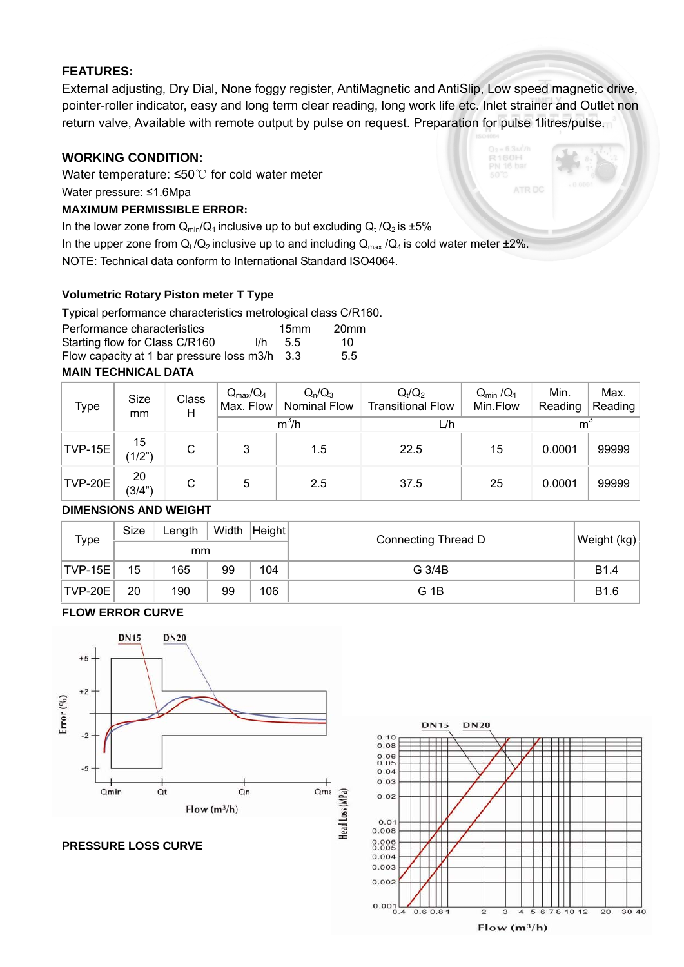## **FEATURES:**

External adjusting, Dry Dial, None foggy register, AntiMagnetic and AntiSlip, Low speed magnetic drive, pointer-roller indicator, easy and long term clear reading, long work life etc. Inlet strainer and Outlet non return valve, Available with remote output by pulse on request. Preparation for pulse 1litres/pulse.

## **WORKING CONDITION:**

Water temperature: ≤50℃ for cold water meter Water pressure: ≤1.6Mpa

### **MAXIMUM PERMISSIBLE ERROR:**

In the lower zone from  $Q_{min}/Q_1$  inclusive up to but excluding  $Q_t/Q_2$  is  $\pm 5\%$ 

In the upper zone from  $Q_t/Q_2$  inclusive up to and including  $Q_{max}/Q_4$  is cold water meter  $\pm 2\%$ .

NOTE: Technical data conform to International Standard ISO4064.

### **Volumetric Rotary Piston meter T Type**

| Typical performance characteristics metrological class C/R160. |     |                  |                  |
|----------------------------------------------------------------|-----|------------------|------------------|
| Performance characteristics                                    |     | 15 <sub>mm</sub> | 20 <sub>mm</sub> |
| Starting flow for Class C/R160                                 | l/h | 55               | 10.              |
| Flow capacity at 1 bar pressure loss m3/h 3.3                  |     |                  | 5.5              |

## **MAIN TECHNICAL DATA**

| Type           | Size<br>mm   | Class<br>Н | $Q_{max}/Q_4$<br>Max. Flow | $Q_n/Q_3$<br><b>Nominal Flow</b> | $Q_1/Q_2$<br><b>Transitional Flow</b> | $Q_{\text{min}}/Q_1$<br>Min.Flow | Min.<br>Reading | Max.<br>Reading |
|----------------|--------------|------------|----------------------------|----------------------------------|---------------------------------------|----------------------------------|-----------------|-----------------|
|                |              |            | $m^3/h$                    |                                  | L/h                                   |                                  | m <sup>3</sup>  |                 |
| <b>TVP-15E</b> | 15<br>(1/2") | С          | 3                          | 1.5                              | 22.5                                  | 15                               | 0.0001          | 99999           |
| TVP-20E        | 20<br>(3/4") | С          | 5                          | 2.5                              | 37.5                                  | 25                               | 0.0001          | 99999           |

#### **DIMENSIONS AND WEIGHT**

| Type        | Size | Length |    | Width   Height | Connecting Thread D | Weight (kg)      |
|-------------|------|--------|----|----------------|---------------------|------------------|
|             | mm   |        |    |                |                     |                  |
| $ TVP-15E $ | 15   | 165    | 99 | 104            | G 3/4B              | <b>B1.4</b>      |
| TVP-20E     | 20   | 190    | 99 | 106            | G 1B                | B <sub>1.6</sub> |

### **FLOW ERROR CURVE**







160H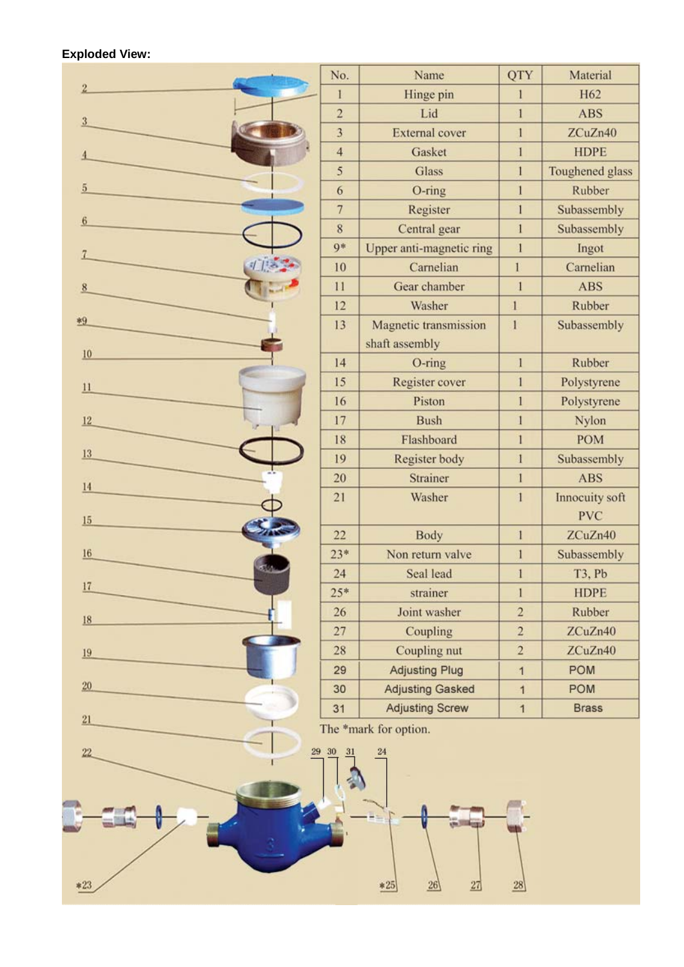### **Exploded View:**